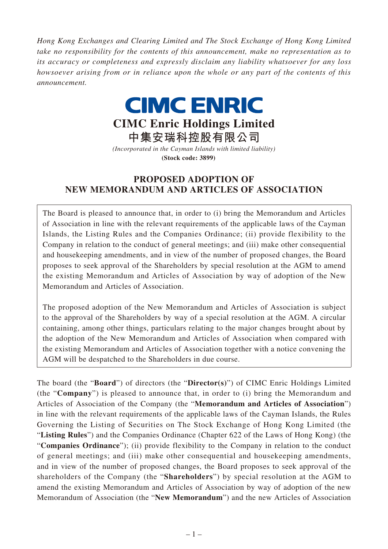*Hong Kong Exchanges and Clearing Limited and The Stock Exchange of Hong Kong Limited take no responsibility for the contents of this announcement, make no representation as to its accuracy or completeness and expressly disclaim any liability whatsoever for any loss howsoever arising from or in reliance upon the whole or any part of the contents of this announcement.*

## **CIMC ENRIC CIMC Enric Holdings Limited**

**中集安瑞科控股有限公司** *(Incorporated in the Cayman Islands with limited liability)*

**(Stock code: 3899)**

## **PROPOSED ADOPTION OF NEW MEMORANDUM AND ARTICLES OF ASSOCIATION**

The Board is pleased to announce that, in order to (i) bring the Memorandum and Articles of Association in line with the relevant requirements of the applicable laws of the Cayman Islands, the Listing Rules and the Companies Ordinance; (ii) provide flexibility to the Company in relation to the conduct of general meetings; and (iii) make other consequential and housekeeping amendments, and in view of the number of proposed changes, the Board proposes to seek approval of the Shareholders by special resolution at the AGM to amend the existing Memorandum and Articles of Association by way of adoption of the New Memorandum and Articles of Association.

The proposed adoption of the New Memorandum and Articles of Association is subject to the approval of the Shareholders by way of a special resolution at the AGM. A circular containing, among other things, particulars relating to the major changes brought about by the adoption of the New Memorandum and Articles of Association when compared with the existing Memorandum and Articles of Association together with a notice convening the AGM will be despatched to the Shareholders in due course.

The board (the "**Board**") of directors (the "**Director(s)**") of CIMC Enric Holdings Limited (the "**Company**") is pleased to announce that, in order to (i) bring the Memorandum and Articles of Association of the Company (the "**Memorandum and Articles of Association**") in line with the relevant requirements of the applicable laws of the Cayman Islands, the Rules Governing the Listing of Securities on The Stock Exchange of Hong Kong Limited (the "**Listing Rules**") and the Companies Ordinance (Chapter 622 of the Laws of Hong Kong) (the "**Companies Ordinance**"); (ii) provide flexibility to the Company in relation to the conduct of general meetings; and (iii) make other consequential and housekeeping amendments, and in view of the number of proposed changes, the Board proposes to seek approval of the shareholders of the Company (the "**Shareholders**") by special resolution at the AGM to amend the existing Memorandum and Articles of Association by way of adoption of the new Memorandum of Association (the "**New Memorandum**") and the new Articles of Association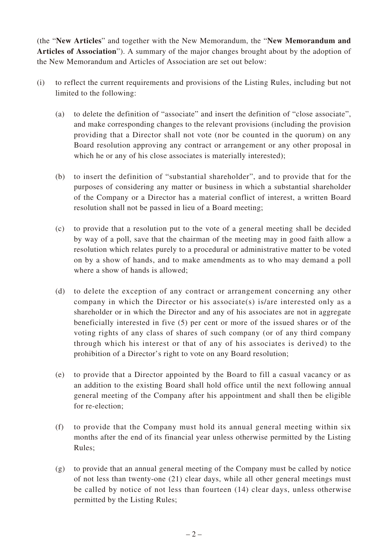(the "**New Articles**" and together with the New Memorandum, the "**New Memorandum and Articles of Association**"). A summary of the major changes brought about by the adoption of the New Memorandum and Articles of Association are set out below:

- (i) to reflect the current requirements and provisions of the Listing Rules, including but not limited to the following:
	- (a) to delete the definition of "associate" and insert the definition of "close associate", and make corresponding changes to the relevant provisions (including the provision providing that a Director shall not vote (nor be counted in the quorum) on any Board resolution approving any contract or arrangement or any other proposal in which he or any of his close associates is materially interested);
	- (b) to insert the definition of "substantial shareholder", and to provide that for the purposes of considering any matter or business in which a substantial shareholder of the Company or a Director has a material conflict of interest, a written Board resolution shall not be passed in lieu of a Board meeting;
	- (c) to provide that a resolution put to the vote of a general meeting shall be decided by way of a poll, save that the chairman of the meeting may in good faith allow a resolution which relates purely to a procedural or administrative matter to be voted on by a show of hands, and to make amendments as to who may demand a poll where a show of hands is allowed;
	- (d) to delete the exception of any contract or arrangement concerning any other company in which the Director or his associate(s) is/are interested only as a shareholder or in which the Director and any of his associates are not in aggregate beneficially interested in five (5) per cent or more of the issued shares or of the voting rights of any class of shares of such company (or of any third company through which his interest or that of any of his associates is derived) to the prohibition of a Director's right to vote on any Board resolution;
	- (e) to provide that a Director appointed by the Board to fill a casual vacancy or as an addition to the existing Board shall hold office until the next following annual general meeting of the Company after his appointment and shall then be eligible for re-election;
	- (f) to provide that the Company must hold its annual general meeting within six months after the end of its financial year unless otherwise permitted by the Listing Rules;
	- (g) to provide that an annual general meeting of the Company must be called by notice of not less than twenty-one (21) clear days, while all other general meetings must be called by notice of not less than fourteen (14) clear days, unless otherwise permitted by the Listing Rules;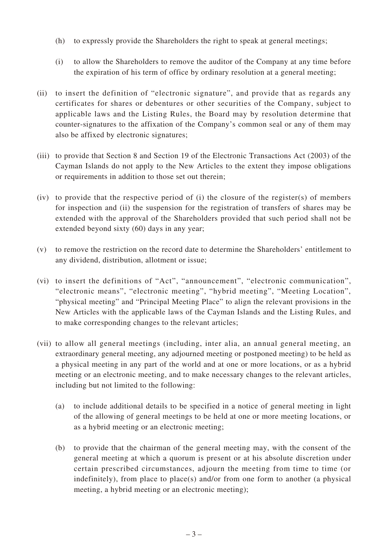- (h) to expressly provide the Shareholders the right to speak at general meetings;
- (i) to allow the Shareholders to remove the auditor of the Company at any time before the expiration of his term of office by ordinary resolution at a general meeting;
- (ii) to insert the definition of "electronic signature", and provide that as regards any certificates for shares or debentures or other securities of the Company, subject to applicable laws and the Listing Rules, the Board may by resolution determine that counter-signatures to the affixation of the Company's common seal or any of them may also be affixed by electronic signatures;
- (iii) to provide that Section 8 and Section 19 of the Electronic Transactions Act (2003) of the Cayman Islands do not apply to the New Articles to the extent they impose obligations or requirements in addition to those set out therein;
- (iv) to provide that the respective period of (i) the closure of the register(s) of members for inspection and (ii) the suspension for the registration of transfers of shares may be extended with the approval of the Shareholders provided that such period shall not be extended beyond sixty (60) days in any year;
- (v) to remove the restriction on the record date to determine the Shareholders' entitlement to any dividend, distribution, allotment or issue;
- (vi) to insert the definitions of "Act", "announcement", "electronic communication", "electronic means", "electronic meeting", "hybrid meeting", "Meeting Location", "physical meeting" and "Principal Meeting Place" to align the relevant provisions in the New Articles with the applicable laws of the Cayman Islands and the Listing Rules, and to make corresponding changes to the relevant articles;
- (vii) to allow all general meetings (including, inter alia, an annual general meeting, an extraordinary general meeting, any adjourned meeting or postponed meeting) to be held as a physical meeting in any part of the world and at one or more locations, or as a hybrid meeting or an electronic meeting, and to make necessary changes to the relevant articles, including but not limited to the following:
	- (a) to include additional details to be specified in a notice of general meeting in light of the allowing of general meetings to be held at one or more meeting locations, or as a hybrid meeting or an electronic meeting;
	- (b) to provide that the chairman of the general meeting may, with the consent of the general meeting at which a quorum is present or at his absolute discretion under certain prescribed circumstances, adjourn the meeting from time to time (or indefinitely), from place to place(s) and/or from one form to another (a physical meeting, a hybrid meeting or an electronic meeting);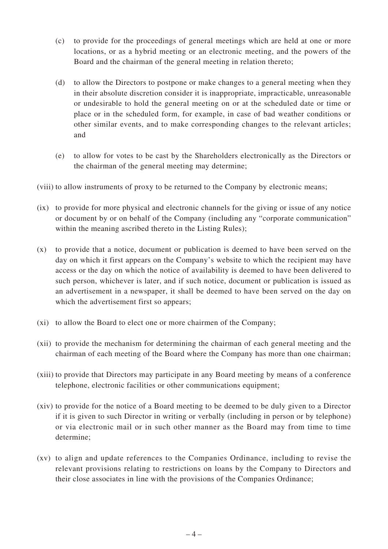- (c) to provide for the proceedings of general meetings which are held at one or more locations, or as a hybrid meeting or an electronic meeting, and the powers of the Board and the chairman of the general meeting in relation thereto;
- (d) to allow the Directors to postpone or make changes to a general meeting when they in their absolute discretion consider it is inappropriate, impracticable, unreasonable or undesirable to hold the general meeting on or at the scheduled date or time or place or in the scheduled form, for example, in case of bad weather conditions or other similar events, and to make corresponding changes to the relevant articles; and
- (e) to allow for votes to be cast by the Shareholders electronically as the Directors or the chairman of the general meeting may determine;

(viii) to allow instruments of proxy to be returned to the Company by electronic means;

- (ix) to provide for more physical and electronic channels for the giving or issue of any notice or document by or on behalf of the Company (including any "corporate communication" within the meaning ascribed thereto in the Listing Rules);
- (x) to provide that a notice, document or publication is deemed to have been served on the day on which it first appears on the Company's website to which the recipient may have access or the day on which the notice of availability is deemed to have been delivered to such person, whichever is later, and if such notice, document or publication is issued as an advertisement in a newspaper, it shall be deemed to have been served on the day on which the advertisement first so appears;
- (xi) to allow the Board to elect one or more chairmen of the Company;
- (xii) to provide the mechanism for determining the chairman of each general meeting and the chairman of each meeting of the Board where the Company has more than one chairman;
- (xiii) to provide that Directors may participate in any Board meeting by means of a conference telephone, electronic facilities or other communications equipment;
- (xiv) to provide for the notice of a Board meeting to be deemed to be duly given to a Director if it is given to such Director in writing or verbally (including in person or by telephone) or via electronic mail or in such other manner as the Board may from time to time determine;
- (xv) to align and update references to the Companies Ordinance, including to revise the relevant provisions relating to restrictions on loans by the Company to Directors and their close associates in line with the provisions of the Companies Ordinance;